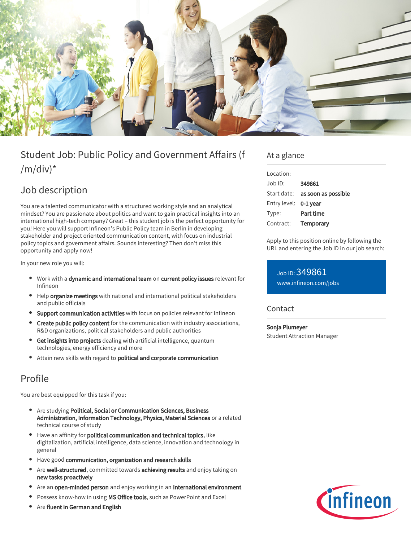

# Student Job: Public Policy and Government Affairs (f  $/m/div)^*$

## Job description

You are a talented communicator with a structured working style and an analytical mindset? You are passionate about politics and want to gain practical insights into an international high-tech company? Great – this student job is the perfect opportunity for you! Here you will support Infineon's Public Policy team in Berlin in developing stakeholder and project oriented communication content, with focus on industrial policy topics and government affairs. Sounds interesting? Then don't miss this opportunity and apply now!

In your new role you will:

- Work with a dynamic and international team on current policy issues relevant for Infineon
- Help organize meetings with national and international political stakeholders and public officials
- **Support communication activities** with focus on policies relevant for Infineon
- Create public policy content for the communication with industry associations, R&D organizations, political stakeholders and public authorities
- **Get insights into projects** dealing with artificial intelligence, quantum technologies, energy efficiency and more
- Attain new skills with regard to political and corporate communication

## Profile

You are best equipped for this task if you:

- Are studying Political, Social or Communication Sciences, Business Administration, Information Technology, Physics, Material Sciences or a related technical course of study
- Have an affinity for political communication and technical topics, like digitalization, artificial intelligence, data science, innovation and technology in general
- Have good communication, organization and research skills
- Are well-structured, committed towards achieving results and enjoy taking on new tasks proactively
- Are an open-minded person and enjoy working in an international environment
- Possess know-how in using MS Office tools, such as PowerPoint and Excel
- Are fluent in German and English

### At a glance

| Location:    |                     |
|--------------|---------------------|
| $Joh$ ID:    | 349861              |
| Start date:  | as soon as possible |
| Entry level: | 0-1 year            |
| Type:        | Part time           |
| Contract:    | Temporary           |
|              |                     |

Apply to this position online by following the URL and entering the Job ID in our job search:

### Job ID: 349861 [www.infineon.com/jobs](https://www.infineon.com/jobs)

#### Contact

Sonja Plumeyer Student Attraction Manager